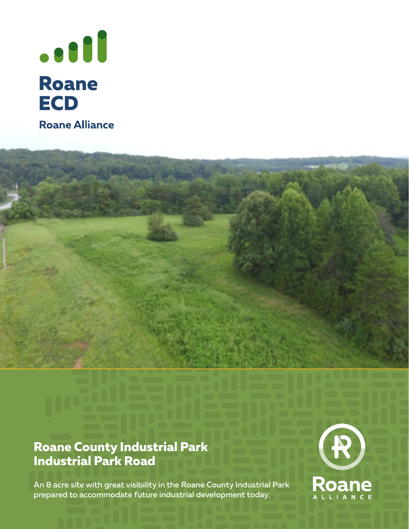

### **Roane County Industrial Park Industrial Park Road**

An 8 acre site with great visibility in the Roane County Industrial Park prepared to accommodate future industrial development today.